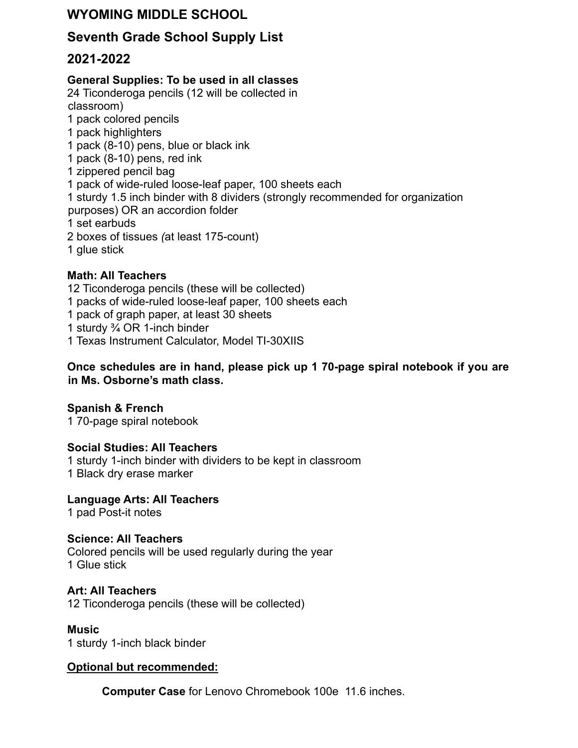# **WYOMING MIDDLE SCHOOL**

## **Seventh Grade School Supply List**

## **2021-2022**

### **General Supplies: To be used in all classes**

24 Ticonderoga pencils (12 will be collected in classroom) 1 pack colored pencils 1 pack highlighters 1 pack (8-10) pens, blue or black ink 1 pack (8-10) pens, red ink 1 zippered pencil bag 1 pack of wide-ruled loose-leaf paper, 100 sheets each 1 sturdy 1.5 inch binder with 8 dividers (strongly recommended for organization purposes) OR an accordion folder 1 set earbuds 2 boxes of tissues *(*at least 175-count) 1 glue stick

### **Math: All Teachers**

- 12 Ticonderoga pencils (these will be collected)
- 1 packs of wide-ruled loose-leaf paper, 100 sheets each
- 1 pack of graph paper, at least 30 sheets
- 1 sturdy ¾ OR 1-inch binder
- 1 Texas Instrument Calculator, Model TI-30XIIS

#### **Once schedules are in hand, please pick up 1 70-page spiral notebook if you are in Ms. Osborne's math class.**

#### **Spanish & French**

1 70-page spiral notebook

#### **Social Studies: All Teachers**

1 sturdy 1-inch binder with dividers to be kept in classroom 1 Black dry erase marker

**Language Arts: All Teachers**

1 pad Post-it notes

#### **Science: All Teachers**

Colored pencils will be used regularly during the year 1 Glue stick

#### **Art: All Teachers**

12 Ticonderoga pencils (these will be collected)

#### **Music**

1 sturdy 1-inch black binder

#### **Optional but recommended:**

**Computer Case** for Lenovo Chromebook 100e 11.6 inches.